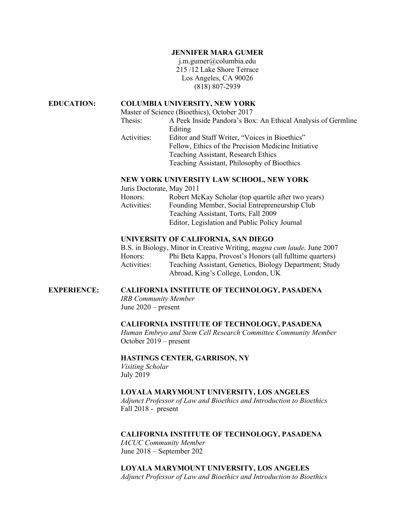### **JENNIFER MARA GUMER**

j.m.gumer@columbia.edu 215 /12 Lake Shore Terrace Los Angeles, CA 90026 (818) 807-2939

### **EDUCATION: COLUMBIA UNIVERSITY, NEW YORK**

Master of Science (Bioethics), October 2017

Thesis: A Peek Inside Pandora's Box: An Ethical Analysis of Germline Editing Activities: Editor and Staff Writer, "Voices in Bioethics" Fellow, Ethics of the Precision Medicine Initiative

Teaching Assistant, Research Ethics Teaching Assistant, Philosophy of Bioethics

#### **NEW YORK UNIVERSITY LAW SCHOOL, NEW YORK**

| Juris Doctorate, May 2011 |                                                     |
|---------------------------|-----------------------------------------------------|
| Honors:                   | Robert McKay Scholar (top quartile after two years) |
| Activities:               | Founding Member, Social Entrepreneurship Club       |
|                           | Teaching Assistant, Torts, Fall 2009                |
|                           | Editor, Legislation and Public Policy Journal       |

## **UNIVERSITY OF CALIFORNIA, SAN DIEGO**

B.S. in Biology, Minor in Creative Writing, *magna cum laude,* June 2007 Honors: Phi Beta Kappa, Provost's Honors (all fulltime quarters) Activities: Teaching Assistant, Genetics, Biology Department; Study Abroad, King's College, London, UK

### **EXPERIENCE: CALIFORNIA INSTITUTE OF TECHNOLOGY, PASADENA**

*IRB Community Member* June 2020 – present

#### **CALIFORNIA INSTITUTE OF TECHNOLOGY, PASADENA**

*Human Embryo and Stem Cell Research Committee Community Member* October 2019 – present

### **HASTINGS CENTER, GARRISON, NY**

*Visiting Scholar* July 2019

## **LOYALA MARYMOUNT UNIVERSITY, LOS ANGELES**

*Adjunct Professor of Law and Bioethics and Introduction to Bioethics* Fall 2018 - present

#### **CALIFORNIA INSTITUTE OF TECHNOLOGY, PASADENA**

*IACUC Community Member* June 2018 – September 202

**LOYALA MARYMOUNT UNIVERSITY, LOS ANGELES**

*Adjunct Professor of Law and Bioethics and Introduction to Bioethics*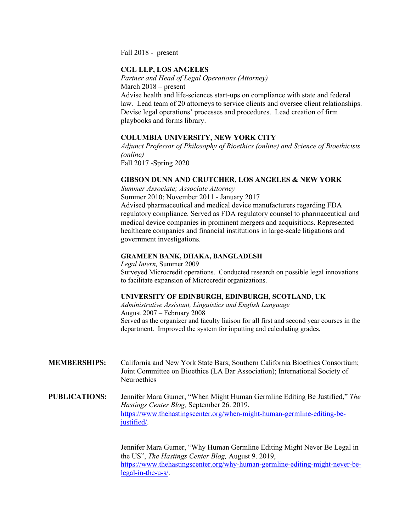Fall 2018 - present

## **CGL LLP, LOS ANGELES**

*Partner and Head of Legal Operations (Attorney)* March 2018 – present Advise health and life-sciences start-ups on compliance with state and federal law. Lead team of 20 attorneys to service clients and oversee client relationships. Devise legal operations' processes and procedures. Lead creation of firm playbooks and forms library.

## **COLUMBIA UNIVERSITY, NEW YORK CITY**

*Adjunct Professor of Philosophy of Bioethics (online) and Science of Bioethicists (online)* Fall 2017 -Spring 2020

## **GIBSON DUNN AND CRUTCHER, LOS ANGELES & NEW YORK**

*Summer Associate; Associate Attorney* Summer 2010; November 2011 - January 2017 Advised pharmaceutical and medical device manufacturers regarding FDA regulatory compliance. Served as FDA regulatory counsel to pharmaceutical and medical device companies in prominent mergers and acquisitions. Represented healthcare companies and financial institutions in large-scale litigations and government investigations.

### **GRAMEEN BANK, DHAKA, BANGLADESH**

*Legal Intern,* Summer 2009 Surveyed Microcredit operations. Conducted research on possible legal innovations to facilitate expansion of Microcredit organizations.

# **UNIVERSITY OF EDINBURGH, EDINBURGH**, **SCOTLAND**, **UK**

*Administrative Assistant, Linguistics and English Language* August 2007 – February 2008 Served as the organizer and faculty liaison for all first and second year courses in the department. Improved the system for inputting and calculating grades.

- **MEMBERSHIPS:** California and New York State Bars; Southern California Bioethics Consortium; Joint Committee on Bioethics (LA Bar Association); International Society of **Neuroethics**
- **PUBLICATIONS:** Jennifer Mara Gumer, "When Might Human Germline Editing Be Justified," *The Hastings Center Blog,* September 26. 2019, https://www.thehastingscenter.org/when-might-human-germline-editing-bejustified/.

Jennifer Mara Gumer, "Why Human Germline Editing Might Never Be Legal in the US", *The Hastings Center Blog,* August 9. 2019, https://www.thehastingscenter.org/why-human-germline-editing-might-never-belegal-in-the-u-s/.